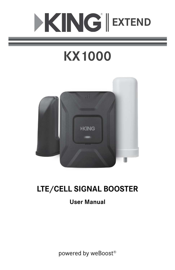# **EXTEND**

# **KX1000**



# **LTE/CELL SIGNAL BOOSTER**

## **User Manual**

powered by weBoost®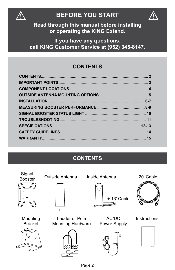

## $\mathbb{R}$  BEFORE YOU START THE  $\mathbb{R}$



**Read through this manual before installing or operating the KING Extend.** 

**If you have any questions, call KING Customer Service at (952) 345-8147.**

#### **CONTENTS**

#### **CONTENTS**

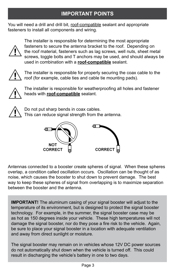#### **IMPORTANT POINTS**

You will need a drill and drill bit, roof-compatible sealant and appropriate fasteners to install all components and wiring.



 The installer is responsible for determining the most appropriate fasteners to secure the antenna bracket to the roof. Depending on the roof material, fasteners such as lag screws, well nuts, sheet metal screws, toggle bolts and T anchors may be used, and should always be used in combination with a **roof-compatible** sealant.



 The installer is responsible for properly securing the coax cable to the roof (for example, cable ties and cable tie mounting pads).



The installer is responsible for weatherproofing all holes and fastener heads with **roof-compatible** sealant.



 Do not put sharp bends in coax cables. This can reduce signal strength from the antenna.



Antennas connected to a booster create spheres of signal. When these spheres overlap, a condition called oscillation occurs. Oscillation can be thought of as noise, which causes the booster to shut down to prevent damage. The best way to keep these spheres of signal from overlapping is to maximize separation between the booster and the antenna.

**IMPORTANT!** The aluminum casing of your signal booster will adjust to the temperature of its environment, but is designed to protect the signal booster technology. For example, in the summer, the signal booster case may be as hot as 150 degrees inside your vehicle. These high temperatures will not damage the signal booster, nor do they pose a fire risk to the vehicle. Again, be sure to place your signal booster in a location with adequate ventilation and away from direct sunlight or moisture.

The signal booster may remain on in vehicles whose 12V DC power sources do not automatically shut down when the vehicle is turned off. This could result in discharging the vehicle's battery in one to two days.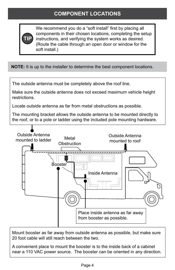#### **COMPONENT LOCATIONS**



We recommend you do a "soft install" first by placing all components in their chosen locations, completing the setup instructions, and verifying the system works as desired. (Route the cable through an open door or window for the soft install.)

**NOTE:** It is up to the installer to determine the best component locations.

The outside antenna must be completely above the roof line.

Make sure the outside antenna does not exceed maximum vehicle height restrictions.

Locate outside antenna as far from metal obstructions as possible.

The mounting bracket allows the outside antenna to be mounted directly to the roof, or to a pole or ladder using the included pole mounting hardware.



Mount booster as far away from outside antenna as possible, but make sure 20 foot cable will still reach between the two.

A convenient place to mount the booster is to the inside back of a cabinet near a 110 VAC power source. The booster can be oriented in any direction.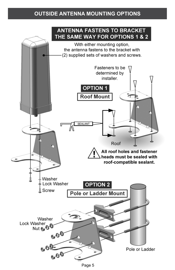#### **OUTSIDE ANTENNA MOUNTING OPTIONS**



Page 5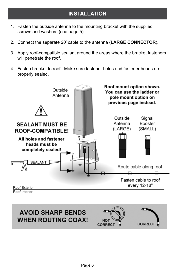- 1. Fasten the outside antenna to the mounting bracket with the supplied screws and washers (see page 5).
- 2. Connect the separate 20' cable to the antenna (**LARGE CONNECTOR**).
- 3. Apply roof-compatible sealant around the areas where the bracket fasteners will penetrate the roof.
- 4. Fasten bracket to roof. Make sure fastener holes and fastener heads are properly sealed.



௱ **AVOID SHARP BENDS WHEN ROUTING COAX! NOT CORRECT CORRECT**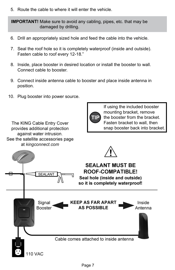5. Route the cable to where it will enter the vehicle.

**IMPORTANT!** Make sure to avoid any cabling, pipes, etc. that may be damaged by drilling.

- 6. Drill an appropriately sized hole and feed the cable into the vehicle.
- 7. Seal the roof hole so it is completely waterproof (inside and outside). Fasten cable to roof every 12-18."
- 8. Inside, place booster in desired location or install the booster to wall. Connect cable to booster.
- 9. Connect inside antenna cable to booster and place inside antenna in position.
- 10. Plug booster into power source.

The KING Cable Entry Cover provides additional protection



If using the included booster mounting bracket, remove the booster from the bracket. Fasten bracket to wall, then snap booster back into bracket.

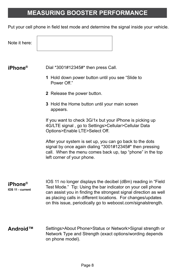#### **MEASURING BOOSTER PERFORMANCE**

Put your cell phone in field test mode and determine the signal inside your vehicle.

Note it here:

#### **iPhone®**

Dial \*3001#12345#\* then press Call.

- **1** Hold down power button until you see "Slide to Power Off."
- **2** Release the power button.
- **3** Hold the Home button until your main screen appears.

If you want to check 3G/1x but your iPhone is picking up 4G/LTE signal , go to Settings>Cellular>Cellular Data Options>Enable LTE>Select Off.

After your system is set up, you can go back to the dots signal by once again dialing \*3001#12345#\* then pressing call. When the menu comes back up, tap "phone" in the top left corner of your phone.

IOS 11 no longer displays the decibel (dBm) reading in "Field Test Mode." Tip: Using the bar indicator on your cell phone can assist you in finding the strongest signal direction as well as placing calls in different locations. For changes/updates on this issue, periodically go to weboost.com/signalstrength. **iPhone® IOS 11 - current**

Settings>About Phone>Status or Network>Signal strength or Network Type and Strength (exact options/wording depends on phone model). **Android™**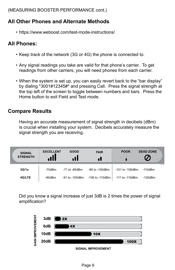(MEASURING BOOSTER PERFORMANCE cont.)

#### **All Other Phones and Alternate Methods**

• https://www.weboost.com/test-mode-instructions/

#### **All Phones:**

- Keep track of the network (3G or 4G) the phone is connected to.
- Any signal readings you take are valid for that phone's carrier. To get readings from other carriers, you will need phones from each carrier.
- When the system is set up, you can easily revert back to the "bar display" by dialing \*3001#12345#\* and pressing Call. Press the signal strength at the top left of the screen to toggle between numbers and bars. Press the Home button to exit Field and Test mode.

#### **Compare Results**

 Having an accurate measurement of signal strength in decibels (dBm) is crucial when installing your system. Decibels accurately measure the signal strength you are receiving.

| <b>SIGNAL</b><br><b>STRENGTH</b> | <b>EXCELLENT</b> | <b>GOOD</b>         | <b>FAIR</b>     | <b>POOR</b>          | <b>DEAD ZONE</b>        |
|----------------------------------|------------------|---------------------|-----------------|----------------------|-------------------------|
| 3G/1x                            | -70dBm           | $-71$ to $-85$ dBm  | -86 to -100dBm  | $-101$ to $-109$ dBm | KC1233<br>$-110$ d $Bm$ |
| 4G/LTE                           | $-90dBr$         | $-91$ to $-105$ dBm | -106 to -110dBm | -111 to -119dBm      | -120dBm                 |

 Did you know a signal increase of just 3dB is 2 times the power of signal amplification?



**SIGNAL IMPROVEMENT**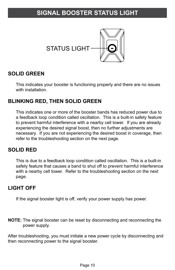#### **SIGNAL BOOSTER STATUS LIGHT**



#### **SOLID GREEN**

 This indicates your booster is functioning properly and there are no issues with installation.

#### **BLINKING RED, THEN SOLID GREEN**

 This indicates one or more of the booster bands has reduced power due to a feedback loop condition called oscillation. This is a built-in safety feature to prevent harmful interference with a nearby cell tower. If you are already experiencing the desired signal boost, then no further adjustments are necessary. If you are not experiencing the desired boost in coverage, then refer to the troubleshooting section on the next page.

#### **SOLID RED**

 This is due to a feedback loop condition called oscillation. This is a built-in safety feature that causes a band to shut off to prevent harmful interference with a nearby cell tower. Refer to the troubleshooting section on the next page.

#### **LIGHT OFF**

If the signal booster light is off, verify your power supply has power.

**NOTE:** The signal booster can be reset by disconnecting and reconnecting the power supply.

After troubleshooting, you must initiate a new power cycle by disconnecting and then reconnecting power to the signal booster.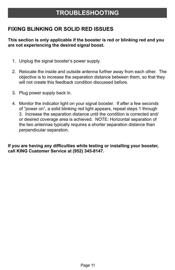#### **TROUBLESHOOTING**

#### **FIXING BLINKING OR SOLID RED ISSUES**

#### **This section is only applicable if the booster is red or blinking red and you are not experiencing the desired signal boost.**

- 1. Unplug the signal booster's power supply.
- 2. Relocate the inside and outside antenna further away from each other. The objective is to increase the separation distance between them, so that they will not create this feedback condition discussed before.
- 3. Plug power supply back in.
- 4. Monitor the indicator light on your signal booster. If after a few seconds of "power on", a solid blinking red light appears, repeat steps 1 through 3. Increase the separation distance until the condition is corrected and/ or desired coverage area is achieved. NOTE: Horizontal separation of the two antennas typically requires a shorter separation distance than perpendicular separation.

**If you are having any difficulties while testing or installing your booster, call KING Customer Service at (952) 345-8147.**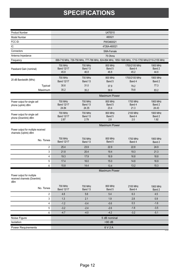# **SPECIFICATIONS**

| <b>Product Number</b>                                            | U470010                                                                                        |                                    |                           |                                 |                             |  |  |
|------------------------------------------------------------------|------------------------------------------------------------------------------------------------|------------------------------------|---------------------------|---------------------------------|-----------------------------|--|--|
| Model Number                                                     | 460021                                                                                         |                                    |                           |                                 |                             |  |  |
| FCC ID:                                                          | PWO460021                                                                                      |                                    |                           |                                 |                             |  |  |
| IC:                                                              | 4726A-460021                                                                                   |                                    |                           |                                 |                             |  |  |
| Connectors                                                       | SMA-Female                                                                                     |                                    |                           |                                 |                             |  |  |
| Antenna Impedance                                                |                                                                                                |                                    | 75 Ohms                   |                                 |                             |  |  |
| Frequency                                                        | 699-716 MHz, 729-756 MHz, 777-786 MHz, 824-894 MHz, 1850-1995 MHz, 1710-1755 MHz/2110-2155 MHz |                                    |                           |                                 |                             |  |  |
| Passband Gain (nominal)                                          | <b>700 MHz</b><br><b>Band 12/17</b><br>45.8                                                    | 700 MHz<br>Band 13<br>46.8         | 800 MHz<br>Band 5<br>46.8 | 1700/2100 MHz<br>Band 4<br>45.2 | 1900 MHz<br>Band 2<br>44.6  |  |  |
| 20 dB Bandwidth (MHz)                                            | <b>700 MHz</b><br><b>Band 12/17</b>                                                            | <b>700 MHz</b><br>Band 13          | 800 MHz<br>Band 5         | 1700/2100 MHz<br>Band 4         | 1900 MHz<br>Band 2          |  |  |
| Typical                                                          | 30.6                                                                                           | 31.0                               | 37.9                      | 79.2                            | 77.3                        |  |  |
| Maximum                                                          | 35.2                                                                                           | 35.2                               | 39.9                      | 79.8                            | 83.2                        |  |  |
|                                                                  | <b>Maximum Power</b>                                                                           |                                    |                           |                                 |                             |  |  |
| Power output for single cell<br>phone (uplink) dBm               | <b>700 MHz</b><br><b>Band 12/17</b><br>24.84                                                   | <b>700 MHz</b><br>Band 13<br>24.35 | 800 MHz<br>Band 5<br>23.4 | 1700 MHz<br>Band 4<br>21.3      | 1900 MHz<br>Band 2<br>24.43 |  |  |
| Power output for single cell<br>phone (Downlink) dBm             | 700 MHz<br><b>Band 12/17</b><br>2.87                                                           | <b>700 MHz</b><br>Band 13<br>2.79  | 800 MHz<br>Band 5<br>2.8  | 2100 MHz<br>Band 4<br>2.0       | 1900 MHz<br>Band 2<br>1.92  |  |  |
|                                                                  | <b>Maximum Power</b>                                                                           |                                    |                           |                                 |                             |  |  |
| Power output for multiple received<br>channels (Uplink) dBm      |                                                                                                |                                    |                           |                                 |                             |  |  |
| No. Tones                                                        | <b>700 MHz</b><br>Band 12/17                                                                   | 700 MHz<br>Band 13                 | 800 MHz<br>Band 5         | 1700 MHz<br>Band 4              | 1900 MHz<br>Band 2          |  |  |
| $\overline{2}$                                                   | 25.4                                                                                           | 23.9                               | 22.9                      | 22.8                            | 24.9                        |  |  |
| 3                                                                | 21.8                                                                                           | 20.4                               | 19.4                      | 19.3                            | 21.3                        |  |  |
| 4                                                                | 19.3                                                                                           | 17.9                               | 16.9                      | 16.8                            | 18.8                        |  |  |
| 5                                                                | 17.4                                                                                           | 16.0                               | 15.0                      | 14.8                            | 16.9                        |  |  |
| 6                                                                | 15.8                                                                                           | 14.4                               | 13.4                      | 13.2                            | 15.3                        |  |  |
|                                                                  | <b>Maximum Power</b>                                                                           |                                    |                           |                                 |                             |  |  |
| Power output for multiple<br>received channels (Downlink)<br>dBm |                                                                                                |                                    |                           |                                 |                             |  |  |
| No. Tones                                                        | 700 MHz<br><b>Band 12/17</b>                                                                   | <b>700 MHz</b><br>Band 13          | 800 MHz<br>Band 5         | 2100 MHz<br>Band 4              | 1900 MHz<br>Band 2          |  |  |
| $\overline{2}$                                                   | 4.8                                                                                            | 5.6                                | 5.4                       | 6.3                             | 4.5                         |  |  |
| 3                                                                | 1.3                                                                                            | 2.1                                | 1.9                       | 2.8                             | 0.9                         |  |  |
| 4                                                                | $-1.2$                                                                                         | $-0.4$                             | $-0.6$                    | 0.3                             | $-1.6$                      |  |  |
| 5                                                                | $-3.2$                                                                                         | $-2.4$                             | $-2.6$                    | $-1.6$                          | $-3.5$                      |  |  |
| 6                                                                | $-4.7$                                                                                         | $-4.0$                             | $-4.2$                    | $-3.2$                          | $-5.1$                      |  |  |
| Noise Figure                                                     | 5 dB nominal                                                                                   |                                    |                           |                                 |                             |  |  |
| Isolation                                                        | >90 dB                                                                                         |                                    |                           |                                 |                             |  |  |
| <b>Power Requirements</b>                                        |                                                                                                |                                    | 6 V 2 A                   |                                 |                             |  |  |

KC1237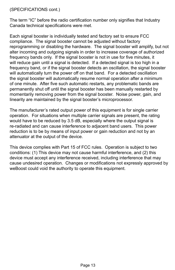#### (SPECIFICATIONS cont.)

The term "IC" before the radio certification number only signifies that Industry Canada technical specifications were met.

Each signal booster is individually tested and factory set to ensure FCC compliance. The signal booster cannot be adjusted without factory reprogramming or disabling the hardware. The signal booster will amplify, but not alter incoming and outgoing signals in order to increase coverage of authorized frequency bands only. If the signal booster is not in use for five minutes, it will reduce gain until a signal is detected. If a detected signal is too high in a frequency band, or if the signal booster detects an oscillation, the signal booster will automatically turn the power off on that band. For a detected oscillation the signal booster will automatically resume normal operation after a minimum of one minute. After five such automatic restarts, any problematic bands are permanently shut off until the signal booster has been manually restarted by momentarily removing power from the signal booster. Noise power, gain, and linearity are maintained by the signal booster's microprocessor.

The manufacturer's rated output power of this equipment is for single carrier operation. For situations when multiple carrier signals are present, the rating would have to be reduced by 3.5 dB, especially where the output signal is re-radiated and can cause interference to adjacent band users. This power reduction is to be by means of input power or gain reduction and not by an attenuator at the output of the device.

This device complies with Part 15 of FCC rules. Operation is subject to two conditions: (1) This device may not cause harmful interference, and (2) this device must accept any interference received, including interference that may cause undesired operation. Changes or modifications not expressly approved by weBoost could void the authority to operate this equipment.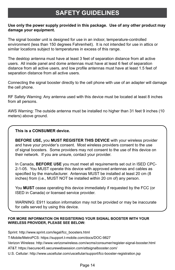#### **SAFETY GUIDELINES**

#### **Use only the power supply provided in this package. Use of any other product may damage your equipment.**

The signal booster unit is designed for use in an indoor, temperature-controlled environment (less than 150 degrees Fahrenheit). It is not intended for use in attics or similar locations subject to temperatures in excess of this range.

The desktop antenna must have at least 3 feet of separation distance from all active users. All inside panel and dome antennas must have at least 6 feet of separation distance from all active users, and low profile antennas must have at least 1.5 feet of separation distance from all active users.

Connecting the signal booster directly to the cell phone with use of an adapter will damage the cell phone.

RF Safety Warning: Any antenna used with this device must be located at least 8 inches from all persons.

AWS Warning: The outside antenna must be installed no higher than 31 feet 9 inches (10 meters) above ground.

#### **This is a CONSUMER device.**

**BEFORE USE,** you **MUST REGISTER THIS DEVICE** with your wireless provider and have your provider's consent. Most wireless providers consent to the use of signal boosters. Some providers may not consent to the use of this device on their network. If you are unsure, contact your provider.

In Canada, **BEFORE USE** you must meet all requirements set out in ISED CPC-2-1-05. You MUST operate this device with approved antennas and cables as specified by the manufacturer. Antennas MUST be installed at least 20 cm (8 inches) from (i.e., MUST NOT be installed within 20 cm of) any person.

You **MUST** cease operating this device immediately if requested by the FCC (or ISED in Canada) or licensed service provider.

WARNING: E911 location information may not be provided or may be inaccurate for calls served by using this device.

#### **FOR MORE INFORMATION ON REGISTERING YOUR SIGNAL BOOSTER WITH YOUR WIRELESS PROVIDER, PLEASE SEE BELOW:**

Sprint: http://www.sprint.com/legal/fcc\_boosters.html

T-Mobile/MetroPCS: https://support.t-mobile.com/docs/DOC-9827

Verizon Wireless: http://www.verizonwireless.com/wcms/consumer/register-signal-booster.html

AT&T: https://securec45.securewebsession.com/attsignalbooster.com/

U.S. Cellular: http://www.uscellular.com/uscellular/support/fcc-booster-registration.jsp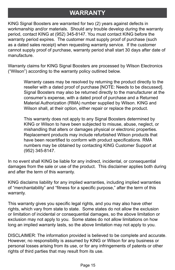### **WARRANTY**

KING Signal Boosters are warranted for two (2) years against defects in workmanship and/or materials. Should any trouble develop during the warranty period, contact KING at (952) 345-8147. You must contact KING before the warranty period expires. The customer must supply proof of purchase (such as a dated sales receipt) when requesting warranty service. If the customer cannot supply proof of purchase, warranty period shall start 30 days after date of manufacture.

Warranty claims for KING Signal Boosters are processed by Wilson Electronics ("Wilson") according to the warranty policy outlined below.

> Warranty cases may be resolved by returning the product directly to the reseller with a dated proof of purchase [NOTE: Needs to be discussed]. Signal Boosters may also be returned directly to the manufacturer at the consumer's expense, with a dated proof of purchase and a Returned Material Authorization (RMA) number supplied by Wilson. KING and Wilson shall, at their option, either repair or replace the product.

 This warranty does not apply to any Signal Boosters determined by KING or Wilson to have been subjected to misuse, abuse, neglect, or mishandling that alters or damages physical or electronic properties. Replacement products may include refurbished Wilson products that have been recertified to conform with product specifications. RMA numbers may be obtained by contacting KING Customer Support at (952) 345-8147.

In no event shall KING be liable for any indirect, incidental, or consequential damages from the sale or use of the product. This disclaimer applies both during and after the term of this warranty.

KING disclaims liability for any implied warranties, including implied warranties of "merchantability" and "fitness for a specific purpose," after the term of this warranty.

This warranty gives you specific legal rights, and you may also have other rights, which vary from state to state. Some states do not allow the exclusion or limitation of incidental or consequential damages, so the above limitation or exclusion may not apply to you. Some states do not allow limitations on how long an implied warranty lasts, so the above limitation may not apply to you.

DISCLAIMER: The information provided is believed to be complete and accurate. However, no responsibility is assumed by KING or Wilson for any business or personal losses arising from its use, or for any infringements of patents or other rights of third parties that may result from its use.